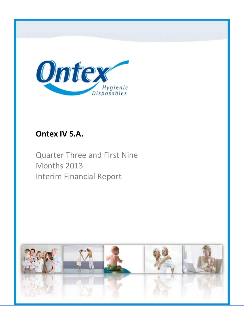

# **Ontex IV S.A.**

Quarter Three and First Nine Months 2013 Interim Financial Report

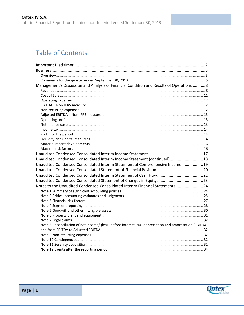# **Table of Contents**

| Management's Discussion and Analysis of Financial Condition and Results of Operations 8                  |  |
|----------------------------------------------------------------------------------------------------------|--|
|                                                                                                          |  |
|                                                                                                          |  |
|                                                                                                          |  |
|                                                                                                          |  |
|                                                                                                          |  |
|                                                                                                          |  |
|                                                                                                          |  |
|                                                                                                          |  |
|                                                                                                          |  |
|                                                                                                          |  |
|                                                                                                          |  |
|                                                                                                          |  |
|                                                                                                          |  |
|                                                                                                          |  |
| Unaudited Condensed Consolidated Interim Income Statement (continued)18                                  |  |
| Unaudited Condensed Consolidated Interim Statement of Comprehensive Income 19                            |  |
|                                                                                                          |  |
|                                                                                                          |  |
|                                                                                                          |  |
| Notes to the Unaudited Condensed Consolidated Interim Financial Statements24                             |  |
|                                                                                                          |  |
|                                                                                                          |  |
|                                                                                                          |  |
|                                                                                                          |  |
|                                                                                                          |  |
|                                                                                                          |  |
|                                                                                                          |  |
| Note 8 Reconciliation of net income/ (loss) before interest, tax, depreciation and amortization (EBITDA) |  |
|                                                                                                          |  |
|                                                                                                          |  |
|                                                                                                          |  |
|                                                                                                          |  |
|                                                                                                          |  |

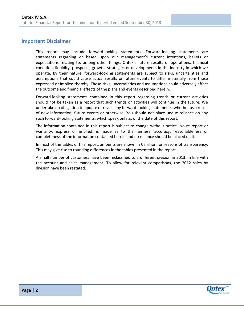### <span id="page-2-0"></span>**Important Disclaimer**

This report may include forward-looking statements. Forward-looking statements are statements regarding or based upon our management's current intentions, beliefs or expectations relating to, among other things, Ontex's future results of operations, financial condition, liquidity, prospects, growth, strategies or developments in the industry in which we operate. By their nature, forward-looking statements are subject to risks, uncertainties and assumptions that could cause actual results or future events to differ materially from those expressed or implied thereby. These risks, uncertainties and assumptions could adversely affect the outcome and financial effects of the plans and events described herein.

Forward-looking statements contained in this report regarding trends or current activities should not be taken as a report that such trends or activities will continue in the future. We undertake no obligation to update or revise any forward-looking statements, whether as a result of new information, future events or otherwise. You should not place undue reliance on any such forward-looking statements, which speak only as of the date of this report.

The information contained in this report is subject to change without notice. No re-report or warranty, express or implied, is made as to the fairness, accuracy, reasonableness or completeness of the information contained herein and no reliance should be placed on it.

In most of the tables of this report, amounts are shown in € million for reasons of transparency. This may give rise to rounding differences in the tables presented in the report.

A small number of customers have been reclassified to a different division in 2013, in line with the account and sales management. To allow for relevant comparisons, the 2012 sales by division have been restated.

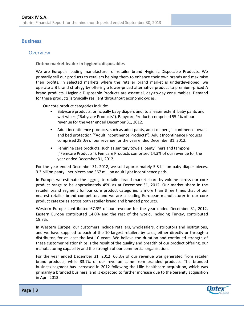## <span id="page-3-0"></span>**Business**

### <span id="page-3-1"></span>**Overview**

**Ontex: market leader in hygienic disposables**

We are Europe's leading manufacturer of retailer brand Hygienic Disposable Products. We primarily sell our products to retailers helping them to enhance their own brands and maximise their profits. In selected markets where the retailer brand market is underdeveloped, we operate a B brand strategy by offering a lower-priced alternative product to premium-priced A brand products. Hygienic Disposable Products are essential, day-to-day consumables. Demand for these products is typically resilient throughout economic cycles.

Our core product categories include:

- Babycare products, principally baby diapers and, to a lesser extent, baby pants and wet wipes ("Babycare Products"). Babycare Products comprised 55.2% of our revenue for the year ended December 31, 2012.
- Adult incontinence products, such as adult pants, adult diapers, incontinence towels and bed protection ("Adult Incontinence Products"). Adult Incontinence Products comprised 29.0% of our revenue for the year ended December 31, 2012.
- Feminine care products, such as sanitary towels, panty liners and tampons ("Femcare Products"). Femcare Products comprised 14.3% of our revenue for the year ended December 31, 2012.

For the year ended December 31, 2012, we sold approximately 5.8 billion baby diaper pieces, 3.3 billion panty liner pieces and 567 million adult light incontinence pads.

In Europe, we estimate the aggregate retailer brand market share by volume across our core product range to be approximately 45% as at December 31, 2012. Our market share in the retailer brand segment for our core product categories is more than three times that of our nearest retailer brand competitor, and we are a leading European manufacturer in our core product categories across both retailer brand and branded products.

Western Europe contributed 67.3% of our revenue for the year ended December 31, 2012, Eastern Europe contributed 14.0% and the rest of the world, including Turkey, contributed 18.7%.

In Western Europe, our customers include retailers, wholesalers, distributors and institutions, and we have supplied to each of the 10 largest retailers by sales, either directly or through a distributor, for at least the last 10 years. We believe the duration and continued strength of these customer relationships is the result of the quality and breadth of our product offering, our manufacturing capability and the strength of our commercial organisation.

For the year ended December 31, 2012, 66.3% of our revenue was generated from retailer brand products, while 33.7% of our revenue came from branded products. The branded business segment has increased in 2012 following the Lille Healthcare acquisition, which was primarily a branded business, and is expected to further increase due to the Serenity acquisition in April 2013.

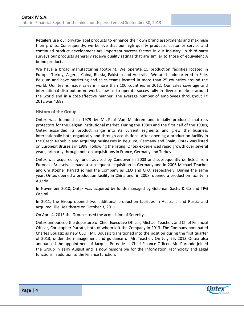Retailers use our private-label products to enhance their own brand assortments and maximise their profits. Consequently, we believe that our high quality products, customer service and continued product development are important success factors in our industry. In third-party surveys our products generally receive quality ratings that are similar to those of equivalent A brand products.

We have a broad manufacturing footprint. We operate 15 production facilities located in Europe, Turkey, Algeria, China, Russia, Pakistan and Australia. We are headquartered in Zele, Belgium and have marketing and sales teams located in more than 25 countries around the world. Our teams made sales in more than 100 countries in 2012. Our sales coverage and international distribution network allow us to operate successfully in diverse markets around the world and in a cost-effective manner. The average number of employees throughout FY 2012 was 4,682.

#### **History of the Group**

Ontex was founded in 1979 by Mr. Paul Van Malderen and initially produced mattress protectors for the Belgian institutional market. During the 1980s and the first half of the 1990s, Ontex expanded its product range into its current segments and grew the business internationally both organically and through acquisitions. After opening a production facility in the Czech Republic and acquiring businesses in Belgium, Germany and Spain, Ontex was listed on Euronext Brussels in 1998. Following the listing, Ontex experienced rapid growth over several years, primarily through bolt-on acquisitions in France, Germany and Turkey.

Ontex was acquired by funds advised by Candover in 2003 and subsequently de-listed from Euronext Brussels. It made a subsequent acquisition in Germany and in 2006 Michael Teacher and Christopher Parratt joined the Company as CEO and CFO, respectively. During the same year, Ontex opened a production facility in China and, in 2008, opened a production facility in Algeria.

In November 2010, Ontex was acquired by funds managed by Goldman Sachs & Co and TPG Capital.

In 2011, the Group opened two additional production facilities in Australia and Russia and acquired Lille Healthcare on October 3, 2011.

On April 4, 2013 the Group closed the acquisition of Serenity.

Ontex announced the departure of Chief Executive Officer, Michael Teacher, and Chief Financial Officer, Christopher Parratt, both of whom left the Company in 2013. The Company nominated Charles Bouaziz as new CEO. Mr. Bouaziz transitioned into the position during the first quarter of 2013, under the management and guidance of Mr. Teacher. On July 25, 2013 Ontex also announced the appointment of Jacques Purnode as Chief Finance Officer. Mr. Purnode joined the Group in early August and is now responsible for the Information Technology and Legal functions in addition to the Finance function.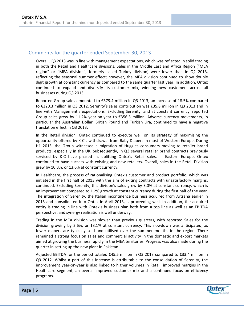# <span id="page-5-0"></span>Comments for the quarter ended September 30, 2013

Overall, Q3 2013 was in line with management expectations, which was reflected in solid trading in both the Retail and Healthcare divisions. Sales in the Middle East and Africa Region ("MEA region" or "MEA division", formerly called Turkey division) were lower than in Q2 2013, reflecting the seasonal summer effect; however, the MEA division continued to show double digit growth at constant currency as compared to the same quarter last year. In addition, Ontex continued to expand and diversify its customer mix, winning new customers across all businesses during Q3 2013.

Reported Group sales amounted to €379.4 million in Q3 2013, an increase of 18.5% compared to €320.3 million in Q3 2012. Serenity's sales contribution was €35.8 million in Q3 2013 and in line with Management's expectations. Excluding Serenity, and at constant currency, reported Group sales grew by 11.2% year-on-year to €356.3 million. Adverse currency movements, in particular the Australian Dollar, British Pound and Turkish Lira, continued to have a negative translation effect in Q3 2013.

In the Retail division, Ontex continued to execute well on its strategy of maximising the opportunity offered by K-C's withdrawal from Baby Diapers in most of Western Europe. During H1 2013, the Group witnessed a migration of Huggies consumers moving to retailer brand products, especially in the UK. Subsequently, in Q3 several retailer brand contracts previously serviced by K-C have phased in, uplifting Ontex's Retail sales. In Eastern Europe, Ontex continued to have success with existing and new retailers. Overall, sales in the Retail Division grew by 10.3%, or 13.6% at constant currency.

In Healthcare, the process of rationalising Ontex's customer and product portfolio, which was initiated in the first half of 2013 with the aim of exiting contracts with unsatisfactory margins, continued. Excluding Serenity, this division's sales grew by 3.0% at constant currency, which is an improvement compared to 1.2% growth at constant currency during the first half of the year. The integration of Serenity, the Italian incontinence business acquired from Artsana earlier in 2013 and consolidated into Ontex in April 2013, is proceeding well. In addition, the acquired entity is trading in line with Ontex's business plan both from a top line as well as an EBITDA perspective, and synergy realisation is well underway.

Trading in the MEA division was slower than previous quarters, with reported Sales for the division growing by 2.6%, or 13.1% at constant currency. This slowdown was anticipated, as fewer diapers are typically sold and utilised over the summer months in the region. There remained a strong focus on sales and commercial activity in the domestic and export markets aimed at growing the business rapidly in the MEA territories. Progress was also made during the quarter in setting up the new plant in Pakistan.

Adjusted EBITDA for the period totaled €45.5 million in Q3 2013 compared to €33.4 million in Q3 2012. Whilst a part of this increase is attributable to the consolidation of Serenity, the improvement year-on-year is also linked to higher volumes in Retail, improved margins in the Healthcare segment, an overall improved customer mix and a continued focus on efficiency programs.

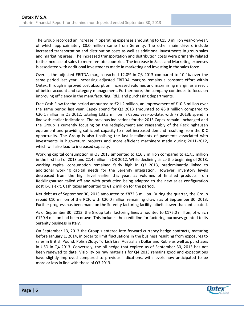The Group recorded an increase in operating expenses amounting to €15.0 million year-on-year, of which approximately €8.0 million came from Serenity. The other main drivers include increased transportation and distribution costs as well as additional investments in group sales and marketing areas. The increased transportation and distribution costs were primarily related to the increase of sales to more remote countries. The increase in Sales and Marketing expenses is associated with additional investments made in marketing and investing in the sales force.

Overall, the adjusted EBITDA margin reached 12.0% in Q3 2013 compared to 10.4% over the same period last year. Increasing adjusted EBITDA margins remains a constant effort within Ontex, through improved cost absorption, increased volumes and maximising margin as a result of better account and category management. Furthermore, the company continues to focus on improving efficiency in the manufacturing, R&D and purchasing departments.

Free Cash Flow for the period amounted to €21.2 million, an improvement of €10.6 million over the same period last year. Capex spend for Q3 2013 amounted to  $\epsilon$ 6.8 million compared to €20.1 million in Q3 2012, totaling €33.5 million in Capex year-to-date, with FY 2013E spend in line with earlier indications. The previous indications for the 2013 Capex remain unchanged and the Group is currently focusing on the redeployment and reassembly of the Recklinghausen equipment and providing sufficient capacity to meet increased demand resulting from the K-C opportunity. The Group is also finalising the last installments of payments associated with investments in high-return projects and more efficient machinery made during 2011-2012, which will also lead to increased capacity.

Working capital consumption in Q3 2013 amounted to €16.3 million compared to €17.5 million in the first half of 2013 and €2.4 million in Q3 2012. While declining since the beginning of 2013, working capital consumption remained fairly high in Q3 2013, predominantly linked to additional working capital needs for the Serenity integration. However, inventory levels decreased from the high level earlier this year, as volumes of finished products from Recklinghausen tailed off and with production being adapted to the new sales configuration post K-C's exit. Cash taxes amounted to €1.2 million for the period.

Net debt as of September 30, 2013 amounted to €872.5 million. During the quarter, the Group repaid €10 million of the RCF, with €20.0 million remaining drawn as of September 30, 2013. Further progress has been made on the Serenity factoring facility, albeit slower than anticipated.

As of September 30, 2013, the Group total factoring lines amounted to €175.0 million, of which €120.4 million had been drawn. This includes the credit line for factoring purposes granted to its Serenity business in Italy.

On September 13, 2013 the Group's entered into forward currency hedge contracts, maturing before January 1, 2014, in order to limit fluctuations in the business resulting from exposures to sales in British Pound, Polish Zloty, Turkish Lira, Australian Dollar and Ruble as well as purchases in USD in Q4 2013. Conversely, the oil hedge that expired as of September 30, 2013 has not been renewed to date. Visibility on raw materials for Q4 2013 remains good and expectations have slightly improved compared to previous indications, with levels now anticipated to be more or less in line with those of Q3 2013.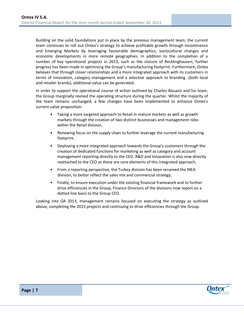Building on the solid foundations put in place by the previous management team, the current team continues to roll out Ontex's strategy to achieve profitable growth through Incontinence and Emerging Markets by leveraging favourable demographics, sociocultural changes and economic developments in more remote geographies. In addition to the completion of a number of key operational projects in 2013, such as the closure of Recklinghausen, further progress has been made in optimising the Group's manufacturing footprint. Furthermore, Ontex believes that through closer relationships and a more integrated approach with its customers in terms of innovation, category management and a selective approach to branding (both local and retailer brands), additional value can be generated.

In order to support the operational course of action outlined by Charles Bouaziz and his team, the Group marginally revised the operating structure during the quarter. Whilst the majority of the team remains unchanged, a few changes have been implemented to enhance Ontex's current value proposition:

- Taking a more targeted approach to Retail in mature markets as well as growth markets through the creation of two distinct businesses and management roles within the Retail division,
- Renewing focus on the supply chain to further leverage the current manufacturing footprint,
- Deploying a more integrated approach towards the Group's customers through the creation of dedicated functions for marketing as well as category and account management reporting directly to the CEO. R&D and Innovation is also now directly reattached to the CEO as these are core elements of this integrated approach,
- From a reporting perspective, the Turkey division has been renamed the MEA division, to better reflect the sales mix and commercial strategy,
- Finally, to ensure execution under the existing financial framework and to further drive efficiencies in the Group, Finance Directors of the divisions now report on a dotted line basis to the Group CFO.

Looking into Q4 2013, management remains focused on executing the strategy as outlined above, completing the 2013 projects and continuing to drive efficiencies through the Group.

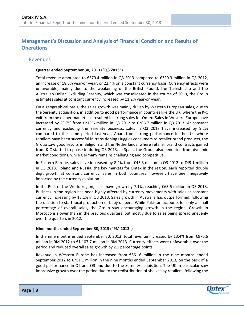# <span id="page-8-0"></span>**Management's Discussion and Analysis of Financial Condition and Results of Operations**

#### <span id="page-8-1"></span>**Revenues**

#### **Quarter ended September 30, 2013 ("Q3 2013")**

Total revenue amounted to €379.4 million in Q3 2013 compared to €320.3 million in Q3 2012, an increase of 18.5% year-on-year, or 22.4% on a constant currency basis. Currency effects were unfavorable, mainly due to the weakening of the British Pound, the Turkish Lira and the Australian Dollar. Excluding Serenity, which was consolidated in the course of 2013, the Group estimates sales at constant currency increased by 11.2% year-on-year.

On a geographical basis, the sales growth was mainly driven by Western European sales, due to the Serenity acquisition, in addition to good performance in countries like the UK, where the K-C exit from the diaper market has resulted in strong sales for Ontex. Sales in Western Europe have increased by 23.7% from €215.6 million in Q3 2012 to €266.7 million in Q3 2013. At constant currency and excluding the Serenity business, sales in Q3 2013 have increased by 9.2% compared to the same period last year. Apart from strong performance in the UK, where retailers have been successful in transitioning Huggies consumers to retailer brand products, the Group saw good results in Belgium and the Netherlands, where retailer brand contracts gained from K-C started to phase in during Q3 2013. In Spain, the Group also benefited from dynamic market conditions, while Germany remains challenging and competitive.

In Eastern Europe, sales have increased by 8.4% from €45.3 million in Q3 2012 to €49.1 million in Q3 2013. Poland and Russia, the key markets for Ontex in the region, each reported double digit growth at constant currency. Sales in both countries, however, have been negatively impacted by the currency evolution.

In the Rest of the World region, sales have grown by 7.1%, reaching €63.6 million in Q3 2013. Business in the region has been highly affected by currency movements with sales at constant currency increasing by 18.1% in Q3 2013. Sales growth in Australia has outperformed, following the decision to start local production of baby diapers. While Pakistan accounts for only a small percentage of overall sales, the Group saw encouraging growth in the region. Growth in Morocco is slower than in the previous quarters, but mostly due to sales being spread unevenly over the quarters in 2012.

#### **Nine months ended September 30, 2013 ("9M 2013")**

In the nine months ended September 30, 2013, total revenue increased by 13.4% from €976.6 million in 9M 2012 to €1,107.7 million in 9M 2013. Currency effects were unfavorable over the period and reduced overall sales growth by 2.1 percentage points.

Revenue in Western Europe has increased from €661.6 million in the nine months ended September 2012 to €751.1 million in the nine months ended September 2013, on the back of a good performance in Q2 and Q3 and due to the Serenity acquisition. The UK in particular saw impressive growth over the period due to the redistribution of shelves by retailers, following the

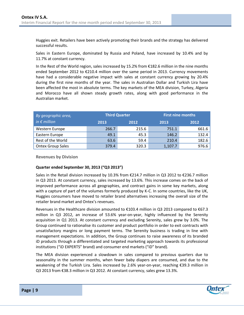Huggies exit. Retailers have been actively promoting their brands and the strategy has delivered successful results.

Sales in Eastern Europe, dominated by Russia and Poland, have increased by 10.4% and by 11.7% at constant currency.

In the Rest of the World region, sales increased by 15.2% from €182.6 million in the nine months ended September 2012 to €210.4 million over the same period in 2013. Currency movements have had a considerable negative impact with sales at constant currency growing by 20.4% during the first nine months of the year. The sales in Australian Dollar and Turkish Lira have been affected the most in absolute terms. The key markets of the MEA division, Turkey, Algeria and Morocco have all shown steady growth rates, along with good performance in the Australian market.

| By geographic area,      |       | <b>Third Quarter</b> | <b>First nine months</b> |       |  |
|--------------------------|-------|----------------------|--------------------------|-------|--|
| in $\epsilon$ million    | 2013  | 2012                 | 2013                     | 2012  |  |
| Western Europe           | 266.7 | 215.6                | 751.1                    | 661.6 |  |
| Eastern Europe           | 49.1  | 45.3                 | 146.2                    | 132.4 |  |
| Rest of the World        | 63.6  | 59.4                 | 210.4                    | 182.6 |  |
| <b>Ontex Group Sales</b> | 379.4 | 320.3                | 1,107.7                  | 976.6 |  |

**Revenues by Division**

#### **Quarter ended September 30, 2013 ("Q3 2013")**

Sales in the Retail division increased by 10.3% from €214.7 million in Q3 2012 to €236.7 million in Q3 2013. At constant currency, sales increased by 13.6%. This increase comes on the back of improved performance across all geographies, and contract gains in some key markets, along with a capture of part of the volumes formerly produced by K-C. In some countries, like the UK, Huggies consumers have moved to retailer brand alternatives increasing the overall size of the retailer brand market and Ontex's revenues.

Revenues in the Healthcare division amounted to €103.4 million in Q3 2013 compared to €67.3 million in Q3 2012, an increase of 53.6% year-on-year, highly influenced by the Serenity acquisition in Q1 2013. At constant currency and excluding Serenity, sales grew by 3.0%. The Group continued to rationalise its customer and product portfolio in order to exit contracts with unsatisfactory margins or long payment terms. The Serenity business is trading in line with management expectations. In addition, the Group continues to raise awareness of its branded iD products through a differentiated and targeted marketing approach towards its professional institutions ("iD EXPERTS" brand) and consumer end markets ("iD" brand).

The MEA division experienced a slowdown in sales compared to previous quarters due to seasonality in the summer months, when fewer baby diapers are consumed, and due to the weakening of the Turkish Lira. Sales increased by 2.6% year-on-year, reaching €39.3 million in Q3 2013 from €38.3 million in Q3 2012. At constant currency, sales grew 13.3%.

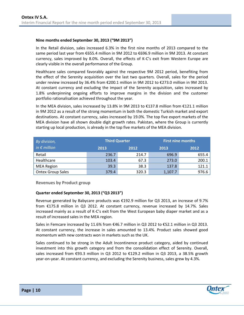#### **Nine months ended September 30, 2013 ("9M 2013")**

In the Retail division, sales increased 6.3% in the first nine months of 2013 compared to the same period last year from €655.4 million in 9M 2012 to €696.9 million in 9M 2013. At constant currency, sales improved by 8.0%. Overall, the effects of K-C's exit from Western Europe are clearly visible in the overall performance of the Group.

Healthcare sales compared favorably against the respective 9M 2012 period, benefiting from the effect of the Serenity acquisition over the last two quarters. Overall, sales for the period under review increased by 36.4% from €200.1 million in 9M 2012 to €273.0 million in 9M 2013. At constant currency and excluding the impact of the Serenity acquisition, sales increased by 1.8% underpinning ongoing efforts to improve margins in the division and the customer portfolio rationalisation achieved throughout the year.

In the MEA division, sales increased by 13.8% in 9M 2013 to €137.8 million from €121.1 million in 9M 2012 as a result of the strong momentum in both the domestic Turkish market and export destinations. At constant currency, sales increased by 19.0%. The top five export markets of the MEA division have all shown double digit growth rates. Pakistan, where the Group is currently starting up local production, is already in the top five markets of the MEA division.

| By division,             | <b>Third Quarter</b> |       | <b>First nine months</b> |       |  |  |
|--------------------------|----------------------|-------|--------------------------|-------|--|--|
| in $\epsilon$ million    | 2013                 | 2012  | 2013                     | 2012  |  |  |
| Retail                   | 236.7                | 214.7 | 696.9                    | 655.4 |  |  |
| Healthcare               | 103.4                | 67.3  | 273.0                    | 200.1 |  |  |
| <b>MEA Region</b>        | 39.3                 | 38.3  | 137.8                    | 121.1 |  |  |
| <b>Ontex Group Sales</b> | 379.4                | 320.3 | 1,107.7                  | 976.6 |  |  |

**Revenues by Product group**

#### **Quarter ended September 30, 2013 ("Q3 2013")**

Revenue generated by Babycare products was €192.9 million for Q3 2013, an increase of 9.7% from €175.8 million in Q3 2012. At constant currency, revenue increased by 14.7%. Sales increased mainly as a result of K-C's exit from the West European baby diaper market and as a result of increased sales in the MEA region.

Sales in Femcare increased by 11.6% from  $\epsilon$ 46.7 million in Q3 2012 to  $\epsilon$ 52.1 million in Q3 2013. At constant currency, the increase in sales amounted to 13.4%. Product sales showed good momentum with new contracts won in markets such as the UK.

Sales continued to be strong in the Adult Incontinence product category, aided by continued investment into this growth category and from the consolidation effect of Serenity. Overall, sales increased from €93.3 million in Q3 2012 to €129.2 million in Q3 2013, a 38.5% growth year-on-year. At constant currency, and excluding the Serenity business, sales grew by 4.3%.

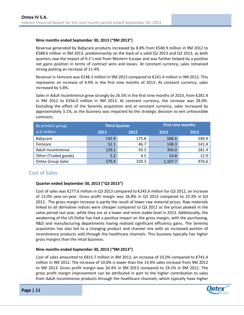#### **Nine months ended September 30, 2013 ("9M 2013")**

Revenue generated by Babycare products increased by 8.8% from €540.9 million in 9M 2012 to €588.6 million in 9M 2013, predominantly on the back of a solid Q2 2013 and Q3 2013, as both quarters saw the impact of K-C's exit from Western Europe and was further helped by a positive net gains position in terms of contract wins and losses. At constant currency, sales remained strong posting an increase of 11.4%.

Revenue in Femcare was €148.3 million in 9M 2013 compared to €141.4 million in 9M 2012. This represents an increase of 4.9% in the first nine months of 2013. At constant currency, sales increased by 5.8%.

Sales in Adult Incontinence grew strongly by 26.5% in the first nine months of 2013, from €281.4 in 9M 2012 to €356.0 million in 9M 2013. At constant currency, the increase was 28.0%. Excluding the effect of the Serenity acquisition and at constant currency, sales increased by approximately 3.1%, as the business was impacted by the strategic decision to exit unfavorable contracts.

| By product group,        | <b>Third Quarter</b> |       | <b>First nine months</b> |       |  |  |
|--------------------------|----------------------|-------|--------------------------|-------|--|--|
| in $\epsilon$ million    | 2013                 | 2012  | 2013                     | 2012  |  |  |
| Babycare                 | 192.9                | 175.8 | 588.6                    | 540.9 |  |  |
| Femcare                  | 52.1                 | 46.7  | 148.3                    | 141.4 |  |  |
| Adult Incontinence       | 129.2                | 93.3  | 356.0                    | 281.4 |  |  |
| Other (Traded goods)     | 5.2                  | 4.5   | 14.8                     | 12.9  |  |  |
| <b>Ontex Group Sales</b> | 379.4                | 320.3 | 1,107.7                  | 976.6 |  |  |

# <span id="page-11-0"></span>Cost of Sales

#### **Quarter ended September 30, 2013 ("Q3 2013")**

Cost of sales was €277.6 million in Q3 2013 compared to €245.6 million for Q3 2012, an increase of 13.0% year-on-year. Gross profit margin was 26.8% in Q3 2013 compared to 23.3% in Q3 2012. The gross margin increase is partly the result of lower raw material prices. Raw materials linked to oil derivative indices were cheaper compared to Q3 2012 as the prices peaked in the same period last year, while they are at a lower and more stable level in 2013. Additionally, the weakening of the US Dollar has had a positive impact on the gross margin, with the purchasing, R&D and manufacturing departments having realised significant efficiency gains. The Serenity acquisition has also led to a changing product and channel mix with an increased portion of incontinence products sold through the healthcare channels. This business typically has higher gross margins than the retail business.

#### **Nine months ended September 30, 2013 ("9M 2013")**

Cost of sales amounted to €815.7 million in 9M 2013, an increase of 10.0% compared to €741.4 million in 9M 2012. The increase of 10.0% is lower than the 13.4% sales increase from 9M 2012 to 9M 2013. Gross profit margin was 26.4% in 9M 2013 compared to 24.1% in 9M 2012. The gross profit margin improvement can be attributed in part to the higher contribution to sales from Adult Incontinence products through the healthcare channels, which typically have higher

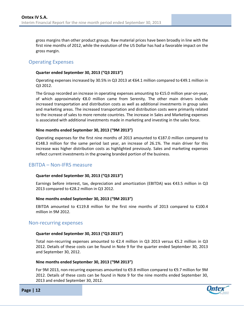gross margins than other product groups. Raw material prices have been broadly in line with the first nine months of 2012, while the evolution of the US Dollar has had a favorable impact on the gross margin.

# <span id="page-12-0"></span>Operating Expenses

#### **Quarter ended September 30, 2013 ("Q3 2013")**

Operating expenses increased by 30.5% in Q3 2013 at €64.1 million compared to €49.1 million in Q3 2012.

The Group recorded an increase in operating expenses amounting to €15.0 million year-on-year, of which approximately  $\epsilon$ 8.0 million came from Serenity. The other main drivers include increased transportation and distribution costs as well as additional investments in group sales and marketing areas. The increased transportation and distribution costs were primarily related to the increase of sales to more remote countries. The increase in Sales and Marketing expenses is associated with additional investments made in marketing and investing in the sales force.

#### **Nine months ended September 30, 2013 ("9M 2013")**

Operating expenses for the first nine months of 2013 amounted to  $E$ 187.0 million compared to €148.3 million for the same period last year, an increase of 26.1%. The main driver for this increase was higher distribution costs as highlighted previously. Sales and marketing expenses reflect current investments in the growing branded portion of the business.

## <span id="page-12-1"></span>EBITDA – Non-IFRS measure

#### **Quarter ended September 30, 2013 ("Q3 2013")**

Earnings before interest, tax, depreciation and amortization (EBITDA) was €43.5 million in Q3 2013 compared to €28.2 million in Q3 2012.

#### **Nine months ended September 30, 2013 ("9M 2013")**

EBITDA amounted to  $E119.8$  million for the first nine months of 2013 compared to  $E100.4$ million in 9M 2012.

#### <span id="page-12-2"></span>Non-recurring expenses

#### **Quarter ended September 30, 2013 ("Q3 2013")**

Total non-recurring expenses amounted to €2.4 million in Q3 2013 versus €5.2 million in Q3 2012. Details of these costs can be found in Note 9 for the quarter ended September 30, 2013 and September 30, 2012.

#### **Nine months ended September 30, 2013 ("9M 2013")**

For 9M 2013, non-recurring expenses amounted to €9.8 million compared to €9.7 million for 9M 2012. Details of these costs can be found in Note 9 for the nine months ended September 30, 2013 and ended September 30, 2012.

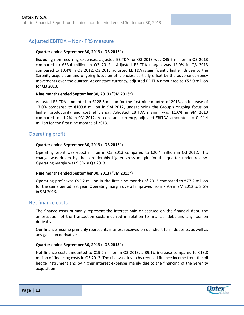# <span id="page-13-0"></span>Adjusted EBITDA – Non-IFRS measure

#### **Quarter ended September 30, 2013 ("Q3 2013")**

Excluding non-recurring expenses, adjusted EBITDA for Q3 2013 was €45.5 million in Q3 2013 compared to €33.4 million in Q3 2012. Adjusted EBITDA margin was 12.0% in Q3 2013 compared to 10.4% in Q3 2012. Q3 2013 adjusted EBITDA is significantly higher, driven by the Serenity acquisition and ongoing focus on efficiencies, partially offset by the adverse currency movements over the quarter. At constant currency, adjusted EBITDA amounted to €53.0 million for Q3 2013.

#### **Nine months ended September 30, 2013 ("9M 2013")**

Adjusted EBITDA amounted to €128.5 million for the first nine months of 2013, an increase of 17.0% compared to €109.8 million in 9M 2012, underpinning the Group's ongoing focus on higher productivity and cost efficiency. Adjusted EBITDA margin was 11.6% in 9M 2013 compared to 11.2% in 9M 2012. At constant currency, adjusted EBITDA amounted to €144.4 million for the first nine months of 2013.

# <span id="page-13-1"></span>Operating profit

#### **Quarter ended September 30, 2013 ("Q3 2013")**

Operating profit was €35.3 million in Q3 2013 compared to €20.4 million in Q3 2012. This change was driven by the considerably higher gross margin for the quarter under review. Operating margin was 9.3% in Q3 2013.

#### **Nine months ended September 30, 2013 ("9M 2013")**

Operating profit was €95.2 million in the first nine months of 2013 compared to €77.2 million for the same period last year. Operating margin overall improved from 7.9% in 9M 2012 to 8.6% in 9M 2013.

#### <span id="page-13-2"></span>Net finance costs

The finance costs primarily represent the interest paid or accrued on the financial debt, the amortization of the transaction costs incurred in relation to financial debt and any loss on derivatives.

Our finance income primarily represents interest received on our short-term deposits, as well as any gains on derivatives.

#### **Quarter ended September 30, 2013 ("Q3 2013")**

Net finance costs amounted to €19.2 million in Q3 2013, a 39.1% increase compared to €13.8 million of financing costs in Q3 2012. The rise was driven by reduced finance income from the oil hedge instrument and by higher interest expenses mainly due to the financing of the Serenity acquisition.

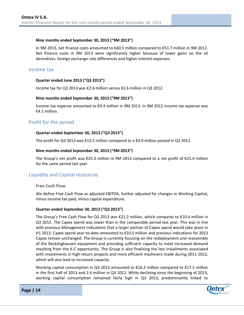#### **Nine months ended September 30, 2013 ("9M 2013")**

In 9M 2013, net finance costs amounted to €60.5 million compared to €51.7 million in 9M 2012. Net finance costs in 9M 2013 were significantly higher because of lower gains on the oil derivatives, foreign exchange rate differences and higher interest expenses.

### <span id="page-14-0"></span>Income tax

#### **Quarter ended June 2013 ("Q3 2013")**

Income tax for Q3 2013 was €2.6 million versus €2.6 million in Q3 2012.

#### **Nine months ended September 30, 2013 ("9M 2013")**

Income tax expense amounted to €9.4 million in 9M 2013. In 9M 2012 income tax expense was €4.1 million.

# <span id="page-14-1"></span>Profit for the period

#### **Quarter ended September 30, 2013 ("Q3 2013")**

The profit for Q3 2013 was  $\epsilon$ 13.5 million compared to a  $\epsilon$ 4.0 million posted in Q3 2012.

#### **Nine months ended September 30, 2013 ("9M 2013")**

The Group's net profit was €25.3 million in 9M 2013 compared to a net profit of €21.4 million for the same period last year.

## <span id="page-14-2"></span>Liquidity and Capital resources

#### **Free Cash Flow**

We define Free Cash Flow as adjusted EBITDA, further adjusted for changes in Working Capital, minus income tax paid, minus capital expenditure.

#### **Quarter ended September 30, 2013 ("Q3 2013")**

The Group's Free Cash Flow for Q3 2013 was €21.2 million, which compares to €10.6 million in Q3 2012. The Capex spend was lower than in the comparable period last year. This was in line with previous Management indications that a larger portion of Capex spend would take place in H1 2013. Capex spend year-to-date amounted to €33.5 million and previous indications for 2013 Capex remain unchanged. The Group is currently focusing on the redeployment and reassembly of the Recklinghausen equipment and providing sufficient capacity to meet increased demand resulting from the K-C opportunity. The Group is also finalising the last installments associated with investments in high-return projects and more efficient machinery made during 2011-2012, which will also lead to increased capacity.

Working capital consumption in Q3 2013 amounted to €16.3 million compared to €17.5 million in the first half of 2013 and 2.4 million in Q3 2012. While declining since the beginning of 2013, working capital consumption remained fairly high in Q3 2013, predominantly linked to

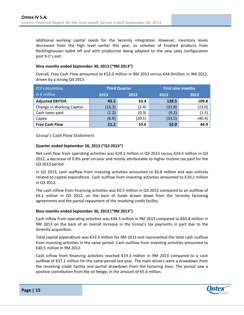additional working capital needs for the Serenity integration. However, inventory levels decreased from the high level earlier this year, as volumes of finished products from Recklinghausen tailed off and with production being adapted to the new sales configuration post K-C's exit.

#### **Nine months ended September 30, 2013 ("9M 2013")**

Overall, Free Cash Flow amounted to €52.0 million in 9M 2013 versus €44.9million in 9M 2012, driven by a strong Q3 2013.

| FCF calculation,          |              | <b>Third Quarter</b> |        | <b>First nine months</b> |
|---------------------------|--------------|----------------------|--------|--------------------------|
| in $\epsilon$ million     | 2013<br>2012 |                      | 2013   | 2012                     |
| <b>Adjusted EBITDA</b>    | 45.5         | 33.4                 | 128.5  | 109.8                    |
| Change in Working Capital | (16.3)       | (2.4)                | (33.8) | (23.0)                   |
| Cash taxes paid           | (1.2)        | (0.3)                | (9.2)  | (1.5)                    |
| Capex                     | (6.8)        | (20.1)               | (33.5) | (40.4)                   |
| <b>Free Cash Flow</b>     | 21.2         | 10.6                 | 52.0   | 44.9                     |

**Group's Cash Flow Statement**

#### **Quarter ended September 30, 2013 ("Q3 2013")**

Net cash flow from operating activities was €24.2 million in Q3 2013 versus €24.4 million in Q3 2012, a decrease of 0.8% year-on-year and mostly attributable to higher income tax paid for the Q3 2013 period.

In Q3 2013, cash outflow from investing activities amounted to €6.8 million and was entirely related to capital expenditure. Cash outflow from investing activities amounted to €20.2 million in Q3 2012.

The cash inflow from financing activities was  $\epsilon$ 0.5 million in Q3 2013 compared to an outflow of €4.1 million in Q3 2012, on the back of funds drawn down from the Serenity factoring agreements and the partial repayment of the revolving credit facility.

#### **Nine months ended September 30, 2013 ("9M 2013")**

Cash inflow from operating activities was €44.3 million in 9M 2013 compared to €65.8 million in 9M 2013 on the back of an overall increase in the Group's tax payments in part due to the Serenity acquisition.

Total capital expenditure was €33.5 million for 9M 2013 and represented the total cash outflow from investing activities in the same period. Cash outflow from investing activities amounted to €40.5 million in 9M 2012.

Cash inflow from financing activities reached €19.3 million in 9M 2013 compared to a cash outflow of €37.1 million for the same period last year. The main drivers were a drawdown from the revolving credit facility and partial drawdown from the factoring lines. The period saw a positive contribution from the oil hedge, in the amount of €5.6 million.

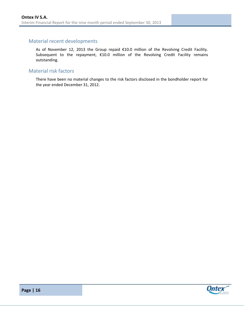# <span id="page-16-0"></span>Material recent developments

As of November 12, 2013 the Group repaid €10.0 million of the Revolving Credit Facility. Subsequent to the repayment, €10.0 million of the Revolving Credit Facility remains outstanding.

## <span id="page-16-1"></span>Material risk factors

There have been no material changes to the risk factors disclosed in the bondholder report for the year ended December 31, 2012.



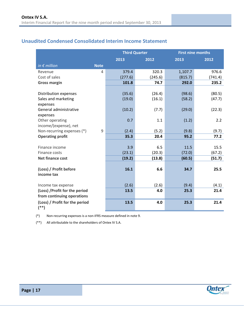# <span id="page-17-0"></span>**Unaudited Condensed Consolidated Interim Income Statement**

|                                |             | <b>Third Quarter</b> |         | <b>First nine months</b> |         |
|--------------------------------|-------------|----------------------|---------|--------------------------|---------|
|                                |             | 2013                 | 2012    | 2013                     | 2012    |
| in $\epsilon$ million          | <b>Note</b> |                      |         |                          |         |
| Revenue                        | 4           | 379.4                | 320.3   | 1,107.7                  | 976.6   |
| Cost of sales                  |             | (277.6)              | (245.6) | (815.7)                  | (741.4) |
| <b>Gross margin</b>            |             | 101.8                | 74.7    | 292.0                    | 235.2   |
|                                |             |                      |         |                          |         |
| Distribution expenses          |             | (35.6)               | (26.4)  | (98.6)                   | (80.5)  |
| Sales and marketing            |             | (19.0)               | (16.1)  | (58.2)                   | (47.7)  |
| expenses                       |             |                      |         |                          |         |
| General administrative         |             | (10.2)               | (7.7)   | (29.0)                   | (22.3)  |
| expenses                       |             |                      |         |                          |         |
| Other operating                |             | 0.7                  | 1.1     | (1.2)                    | 2.2     |
| income/(expense), net          |             |                      |         |                          |         |
| Non-recurring expenses (*)     | 9           | (2.4)                | (5.2)   | (9.8)                    | (9.7)   |
| <b>Operating profit</b>        |             | 35.3                 | 20.4    | 95.2                     | 77.2    |
| Finance income                 |             | 3.9                  | 6.5     | 11.5                     | 15.5    |
| Finance costs                  |             | (23.1)               | (20.3)  | (72.0)                   | (67.2)  |
| <b>Net finance cost</b>        |             | (19.2)               | (13.8)  | (60.5)                   | (51.7)  |
|                                |             |                      |         |                          |         |
| (Loss) / Profit before         |             | 16.1                 | 6.6     | 34.7                     | 25.5    |
| income tax                     |             |                      |         |                          |         |
|                                |             |                      |         |                          |         |
| Income tax expense             |             | (2.6)                | (2.6)   | (9.4)                    | (4.1)   |
| (Loss) / Profit for the period |             | 13.5                 | 4.0     | 25.3                     | 21.4    |
| from continuing operations     |             |                      |         |                          |         |
| (Loss) / Profit for the period |             | 13.5                 | 4.0     | 25.3                     | 21.4    |
| $^{(*)}$                       |             |                      |         |                          |         |

(\*) Non-recurring expenses is a non-IFRS measure defined in note 9.

(\*\*) All attributable to the shareholders of Ontex IV S.A.

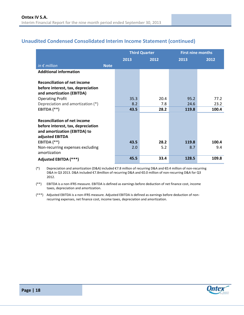# <span id="page-18-0"></span>**Unaudited Condensed Consolidated Interim Income Statement (continued)**

|                                                  |      | <b>Third Quarter</b> | <b>First nine months</b> |       |  |
|--------------------------------------------------|------|----------------------|--------------------------|-------|--|
|                                                  | 2013 | 2012                 | 2013                     | 2012  |  |
| in $\epsilon$ million<br><b>Note</b>             |      |                      |                          |       |  |
| <b>Additional information</b>                    |      |                      |                          |       |  |
| <b>Reconciliation of net income</b>              |      |                      |                          |       |  |
| before interest, tax, depreciation               |      |                      |                          |       |  |
| and amortization (EBITDA)                        |      |                      |                          |       |  |
| <b>Operating Profit</b>                          | 35.3 | 20.4                 | 95.2                     | 77.2  |  |
| Depreciation and amortization (*)                | 8.2  | 7.8                  | 24.6                     | 23.2  |  |
| EBITDA (**)                                      | 43.5 | 28.2                 | 119.8                    | 100.4 |  |
|                                                  |      |                      |                          |       |  |
| <b>Reconciliation of net income</b>              |      |                      |                          |       |  |
| before interest, tax, depreciation               |      |                      |                          |       |  |
| and amortization (EBITDA) to                     |      |                      |                          |       |  |
| adjusted EBITDA                                  |      |                      |                          |       |  |
| EBITDA (**)                                      | 43.5 | 28.2                 | 119.8                    | 100.4 |  |
| Non-recurring expenses excluding<br>amortization | 2.0  | 5.2                  | 8.7                      | 9.4   |  |
| Adjusted EBITDA (***)                            | 45.5 | 33.4                 | 128.5                    | 109.8 |  |

(\*) Depreciation and amortization (D&A) included €7.8 million of recurring D&A and €0.4 million of non-recurring D&A in Q3 2013. D&A included €7.8million of recurring D&A and €0.0 million of non-recurring D&A for Q3 2012.

(\*\*) EBITDA is a non-IFRS measure. EBITDA is defined as earnings before deduction of net finance cost, income taxes, depreciation and amortization.

(\*\*\*) Adjusted EBITDA is a non-IFRS measure. Adjusted EBITDA is defined as earnings before deduction of nonrecurring expenses, net finance cost, income taxes, depreciation and amortization.

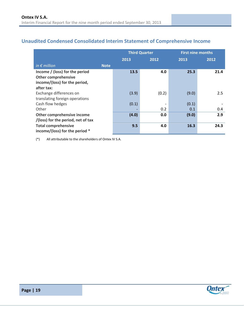# <span id="page-19-0"></span>**Unaudited Condensed Consolidated Interim Statement of Comprehensive Income**

|                                      |       | <b>Third Quarter</b> |       | <b>First nine months</b> |
|--------------------------------------|-------|----------------------|-------|--------------------------|
|                                      | 2013  | 2012                 | 2013  | 2012                     |
| in $\epsilon$ million<br><b>Note</b> |       |                      |       |                          |
| Income / (loss) for the period       | 13.5  | 4.0                  | 25.3  | 21.4                     |
| <b>Other comprehensive</b>           |       |                      |       |                          |
| income/(loss) for the period,        |       |                      |       |                          |
| after tax:                           |       |                      |       |                          |
| Exchange differences on              | (3.9) | (0.2)                | (9.0) | 2.5                      |
| translating foreign operations       |       |                      |       |                          |
| Cash flow hedges                     | (0.1) |                      | (0.1) |                          |
| Other                                |       | 0.2                  | 0.1   | 0.4                      |
| Other comprehensive income           | (4.0) | 0.0                  | (9.0) | 2.9                      |
| /(loss) for the period, net of tax   |       |                      |       |                          |
| <b>Total comprehensive</b>           | 9.5   | 4.0                  | 16.3  | 24.3                     |
| income/(loss) for the period *       |       |                      |       |                          |

(\*) All attributable to the shareholders of Ontex IV S.A.



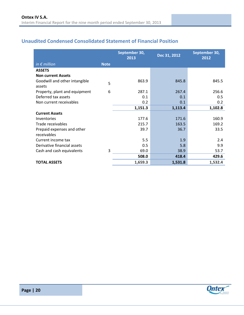# <span id="page-20-0"></span>**Unaudited Condensed Consolidated Statement of Financial Position**

|                                         |             | September 30,<br>2013 | Dec 31, 2012 | September 30,<br>2012 |
|-----------------------------------------|-------------|-----------------------|--------------|-----------------------|
| in $\epsilon$ million                   | <b>Note</b> |                       |              |                       |
| <b>ASSETS</b>                           |             |                       |              |                       |
| <b>Non current Assets</b>               |             |                       |              |                       |
| Goodwill and other intangible<br>assets | 5           | 863.9                 | 845.8        | 845.5                 |
| Property, plant and equipment           | 6           | 287.1                 | 267.4        | 256.6                 |
| Deferred tax assets                     |             | 0.1                   | 0.1          | 0.5                   |
| Non current receivables                 |             | 0.2                   | 0.1          | 0.2                   |
|                                         |             | 1,151.3               | 1,113.4      | 1,102.8               |
| <b>Current Assets</b>                   |             |                       |              |                       |
| Inventories                             |             | 177.6                 | 171.6        | 160.9                 |
| Trade receivables                       |             | 215.7                 | 163.5        | 169.2                 |
| Prepaid expenses and other              |             | 39.7                  | 36.7         | 33.5                  |
| receivables                             |             |                       |              |                       |
| Current income tax                      |             | 5.5                   | 1.9          | 2.4                   |
| Derivative financial assets             |             | 0.5                   | 5.8          | 9.9                   |
| Cash and cash equivalents               | 3           | 69.0                  | 38.9         | 53.7                  |
|                                         |             | 508.0                 | 418.4        | 429.6                 |
| <b>TOTAL ASSETS</b>                     |             | 1,659.3               | 1,531.8      | 1,532.4               |

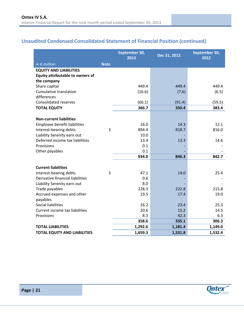# **Unaudited Condensed Consolidated Statement of Financial Position (continued)**

|                                         |             | September 30,<br>2013 | Dec 31, 2012 | September 30,<br>2012 |
|-----------------------------------------|-------------|-----------------------|--------------|-----------------------|
| in $\epsilon$ million                   | <b>Note</b> |                       |              |                       |
| <b>EQUITY AND LIABILITIES</b>           |             |                       |              |                       |
| <b>Equity attributable to owners of</b> |             |                       |              |                       |
| the company                             |             |                       |              |                       |
| Share capital                           |             | 449.4                 | 449.4        | 449.4                 |
| Cumulative translation                  |             | (16.6)                | (7.6)        | (6.5)                 |
| differences                             |             |                       |              |                       |
| <b>Consolidated reserves</b>            |             | (66.1)                | (91.4)       | (59.5)                |
| <b>TOTAL EQUITY</b>                     |             | 366.7                 | 350.4        | 383.4                 |
| <b>Non-current liabilities</b>          |             |                       |              |                       |
| <b>Employee benefit liabilities</b>     |             | 16.0                  | 14.3         | 12.1                  |
| Interest-bearing debts                  | 3           | 894.4                 | 818.7        | 816.0                 |
| Liability Serenity earn out             |             | 10.0                  |              |                       |
| Deferred income tax liabilities         |             | 13.4                  | 13.3         | 14.6                  |
| Provisions                              |             | 0.1                   |              |                       |
| Other payables                          |             | 0.1                   |              |                       |
|                                         |             | 934.0                 | 846.3        | 842.7                 |
|                                         |             |                       |              |                       |
| <b>Current liabilities</b>              |             |                       |              |                       |
| Interest-bearing debts                  | 3           | 47.1                  | 14.0         | 25.4                  |
| Derivative financial liabilities        |             | 0.6                   |              |                       |
| Liability Serenity earn out             |             | 8.0                   |              |                       |
| Trade payables                          |             | 228.3                 | 222.8        | 215.8                 |
| Accrued expenses and other              |             | 19.5                  | 17.4         | 19.0                  |
| payables                                |             |                       |              |                       |
| <b>Social liabilities</b>               |             | 26.2                  | 23.4         | 25.3                  |
| Current income tax liabilities          |             | 20.6                  | 15.2<br>42.3 | 14.5                  |
| Provisions                              |             | 8.3<br>358.6          | 335.1        | 6.3<br>306.3          |
| <b>TOTAL LIABILITIES</b>                |             | 1,292.6               | 1,181.4      | 1,149.0               |
|                                         |             |                       |              |                       |
| <b>TOTAL EQUITY AND LIABILITIES</b>     |             | 1,659.3               | 1,531.8      | 1,532.4               |

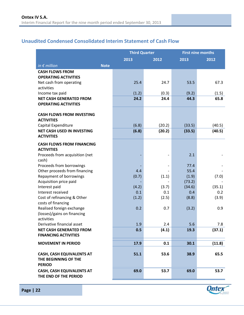# <span id="page-22-0"></span>**Unaudited Condensed Consolidated Interim Statement of Cash Flow**

|                                                           |             | <b>Third Quarter</b> |                          | <b>First nine months</b> |               |
|-----------------------------------------------------------|-------------|----------------------|--------------------------|--------------------------|---------------|
|                                                           |             | 2013                 | 2012                     | 2013                     | 2012          |
| in $\epsilon$ million                                     | <b>Note</b> |                      |                          |                          |               |
| <b>CASH FLOWS FROM</b>                                    |             |                      |                          |                          |               |
| <b>OPERATING ACTIVITIES</b>                               |             |                      |                          |                          |               |
| Net cash from operating                                   |             | 25.4                 | 24.7                     | 53.5                     | 67.3          |
| activities                                                |             |                      |                          |                          |               |
| Income tax paid<br><b>NET CASH GENERATED FROM</b>         |             | (1.2)<br>24.2        | (0.3)<br>24.4            | (9.2)<br>44.3            | (1.5)<br>65.8 |
| <b>OPERATING ACTIVITIES</b>                               |             |                      |                          |                          |               |
|                                                           |             |                      |                          |                          |               |
| <b>CASH FLOWS FROM INVESTING</b>                          |             |                      |                          |                          |               |
| <b>ACTIVITIES</b>                                         |             |                      |                          |                          |               |
| Capital Expenditure                                       |             | (6.8)                | (20.2)                   | (33.5)                   | (40.5)        |
| <b>NET CASH USED IN INVESTING</b>                         |             | (6.8)                | (20.2)                   | (33.5)                   | (40.5)        |
| <b>ACTIVITIES</b>                                         |             |                      |                          |                          |               |
| <b>CASH FLOWS FROM FINANCING</b>                          |             |                      |                          |                          |               |
| <b>ACTIVITIES</b>                                         |             |                      |                          |                          |               |
| Proceeds from acquisition (net                            |             |                      |                          | 2.1                      |               |
| cash)<br>Proceeds from borrowings                         |             |                      | $\overline{\phantom{a}}$ | 77.4                     |               |
| Other proceeds from financing                             |             | 4.4                  |                          | 55.4                     |               |
| Repayment of borrowings                                   |             | (0.7)                | (1.1)                    | (1.9)                    | (7.0)         |
| Acquisition price paid                                    |             |                      |                          | (73.2)                   |               |
| Interest paid                                             |             | (4.2)                | (3.7)                    | (34.6)                   | (35.1)        |
| Interest received                                         |             | 0.1                  | 0.1                      | 0.4                      | 0.2           |
| Cost of refinancing & Other                               |             | (1.2)                | (2.5)                    | (8.8)                    | (3.9)         |
| costs of financing                                        |             |                      |                          |                          |               |
| Realised foreign exchange                                 |             | 0.2                  | 0.7                      | (3.2)                    | 0.9           |
| (losses)/gains on financing<br>activities                 |             |                      |                          |                          |               |
| Derivative financial asset                                |             | 1.9                  | 2.4                      | 5.6                      | 7.8           |
| <b>NET CASH GENERATED FROM</b>                            |             | 0.5                  | (4.1)                    | 19.3                     | (37.1)        |
| <b>FINANCING ACTIVITIES</b>                               |             |                      |                          |                          |               |
| <b>MOVEMENT IN PERIOD</b>                                 |             | 17.9                 | 0.1                      | 30.1                     | (11.8)        |
|                                                           |             |                      |                          |                          |               |
| <b>CASH, CASH EQUIVALENTS AT</b>                          |             | 51.1                 | 53.6                     | 38.9                     | 65.5          |
| THE BEGINNING OF THE<br><b>PERIOD</b>                     |             |                      |                          |                          |               |
|                                                           |             |                      |                          |                          |               |
| <b>CASH, CASH EQUIVALENTS AT</b><br>THE END OF THE PERIOD |             | 69.0                 | 53.7                     | 69.0                     | 53.7          |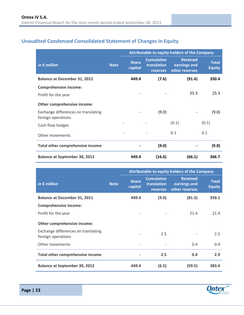# <span id="page-23-0"></span>**Unaudited Condensed Consolidated Statement of Changes in Equity**

|                                                           |             | <b>Attributable to equity holders of the Company</b> |                                                     |                                                   |                               |  |
|-----------------------------------------------------------|-------------|------------------------------------------------------|-----------------------------------------------------|---------------------------------------------------|-------------------------------|--|
| in $\epsilon$ million                                     | <b>Note</b> | <b>Share</b><br>capital                              | <b>Cumulative</b><br>translation<br><b>reserves</b> | <b>Retained</b><br>earnings and<br>other reserves | <b>Total</b><br><b>Equity</b> |  |
| <b>Balance at December 31, 2012</b>                       |             | 449.4                                                | (7.6)                                               | (91.4)                                            | 350.4                         |  |
| <b>Comprehensive income:</b>                              |             |                                                      |                                                     |                                                   |                               |  |
| Profit for the year                                       |             |                                                      |                                                     | 25.3                                              | 25.3                          |  |
| Other comprehensive income:                               |             |                                                      |                                                     |                                                   |                               |  |
| Exchange differences on translating<br>foreign operations |             |                                                      | (9.0)                                               |                                                   | (9.0)                         |  |
| Cash flow hedges                                          |             |                                                      |                                                     | (0.1)                                             | (0.1)                         |  |
| Other movements                                           |             |                                                      |                                                     | 0.1                                               | 0.1                           |  |
| <b>Total other comprehensive income</b>                   |             |                                                      | (9.0)                                               |                                                   | (9.0)                         |  |
| <b>Balance at September 30, 2013</b>                      |             | 449.4                                                | (16.6)                                              | (66.1)                                            | 366.7                         |  |

|                                                           |             | <b>Attributable to equity holders of the Company</b> |                                                     |                                                   |                               |  |
|-----------------------------------------------------------|-------------|------------------------------------------------------|-----------------------------------------------------|---------------------------------------------------|-------------------------------|--|
| in $\epsilon$ million                                     | <b>Note</b> | <b>Share</b><br>capital                              | <b>Cumulative</b><br>translation<br><b>reserves</b> | <b>Retained</b><br>earnings and<br>other reserves | <b>Total</b><br><b>Equity</b> |  |
| <b>Balance at December 31, 2011</b>                       |             | 449.4                                                | (9.0)                                               | (81.3)                                            | 359.1                         |  |
| <b>Comprehensive income:</b>                              |             |                                                      |                                                     |                                                   |                               |  |
| Profit for the year                                       |             |                                                      |                                                     | 21.4                                              | 21.4                          |  |
| Other comprehensive income:                               |             |                                                      |                                                     |                                                   |                               |  |
| Exchange differences on translating<br>foreign operations |             |                                                      | 2.5                                                 |                                                   | 2.5                           |  |
| Other movements                                           |             |                                                      |                                                     | 0.4                                               | 0.4                           |  |
| <b>Total other comprehensive income</b>                   |             |                                                      | 2.5                                                 | 0.4                                               | 2.9                           |  |
| <b>Balance at September 30, 2012</b>                      |             | 449.4                                                | (6.5)                                               | (59.5)                                            | 383.4                         |  |

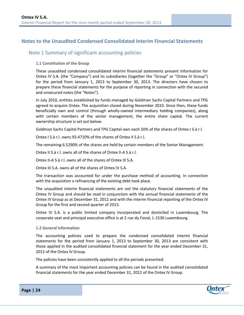# <span id="page-24-0"></span>**Notes to the Unaudited Condensed Consolidated Interim Financial Statements**

# <span id="page-24-1"></span>Note 1 Summary of significant accounting policies

#### **1.1 Constitution of the Group**

These unaudited condensed consolidated interim financial statements present information for Ontex IV S.A. (the "Company") and its subsidiaries (together the "Group" or "Ontex IV Group") for the period from January 1, 2013 to September 30, 2013. The directors have chosen to prepare these financial statements for the purpose of reporting in connection with the secured and unsecured notes (the "Notes").

In July 2010, entities established by funds managed by Goldman Sachs Capital Partners and TPG agreed to acquire Ontex. The acquisition closed during November 2010. Since then, these funds beneficially own and control (through wholly-owned intermediary holding companies), along with certain members of the senior management, the entire share capital. The current ownership structure is set out below:

Goldman Sachs Capital Partners and TPG Capital own each 50% of the shares of Ontex I S.à r.l.

Ontex I S.à r.l. owns 93.4710% of the shares of Ontex II S.à r.l.

The remaining 6.5290% of the shares are held by certain members of the Senior Management.

Ontex II S.à r.l. owns all of the shares of Ontex II-A S.à r.l.

Ontex II-A S.à r.l. owns all of the shares of Ontex III S.A.

Ontex III S.A. owns all of the shares of Ontex IV S.A.

The transaction was accounted for under the purchase method of accounting. In connection with the acquisition a refinancing of the existing debt took place.

The unaudited interim financial statements are not the statutory financial statements of the Ontex IV Group and should be read in conjunction with the annual financial statements of the Ontex IV Group as at December 31, 2012 and with the interim financial reporting of the Ontex IV Group for the first and second quarter of 2013.

Ontex IV S.A. is a public limited company incorporated and domiciled in Luxembourg. The corporate seat and principal executive office is at 2 rue du Fossé, L-1536 Luxembourg.

#### **1.2 General information**

The accounting policies used to prepare the condensed consolidated interim financial statements for the period from January 1, 2013 to September 30, 2013 are consistent with those applied in the audited consolidated financial statement for the year ended December 31, 2012 of the Ontex IV Group.

The policies have been consistently applied to all the periods presented.

A summary of the most important accounting policies can be found in the audited consolidated financial statements for the year ended December 31, 2012 of the Ontex IV Group.

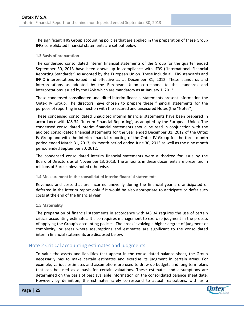The significant IFRS Group accounting policies that are applied in the preparation of these Group IFRS consolidated financial statements are set out below.

#### **1.3 Basis of preparation**

The condensed consolidated interim financial statements of the Group for the quarter ended September 30, 2013 have been drawn up in compliance with IFRS ("International Financial Reporting Standards") as adopted by the European Union. These include all IFRS standards and IFRIC interpretations issued and effective as at December 31, 2012. These standards and interpretations as adopted by the European Union correspond to the standards and interpretations issued by the IASB which are mandatory as at January 1, 2013.

These condensed consolidated unaudited interim financial statements present information the Ontex IV Group. The directors have chosen to prepare these financial statements for the purpose of reporting in connection with the secured and unsecured Notes (the "Notes").

These condensed consolidated unaudited interim financial statements have been prepared in accordance with IAS 34, 'Interim Financial Reporting', as adopted by the European Union. The condensed consolidated interim financial statements should be read in conjunction with the audited consolidated financial statements for the year ended December 31, 2012 of the Ontex IV Group and with the interim financial reporting of the Ontex IV Group for the three month period ended March 31, 2013, six month period ended June 30, 2013 as well as the nine month period ended September 30, 2012.

The condensed consolidated interim financial statements were authorized for issue by the Board of Directors as of November 13, 2013. The amounts in these documents are presented in millions of Euros unless noted otherwise.

#### **1.4 Measurement in the consolidated interim financial statements**

Revenues and costs that are incurred unevenly during the financial year are anticipated or deferred in the interim report only if it would be also appropriate to anticipate or defer such costs at the end of the financial year.

#### **1.5 Materiality**

The preparation of financial statements in accordance with IAS 34 requires the use of certain critical accounting estimates. It also requires management to exercise judgment in the process of applying the Group's accounting policies. The areas involving a higher degree of judgment or complexity, or areas where assumptions and estimates are significant to the consolidated interim financial statements are disclosed below.

## <span id="page-25-0"></span>Note 2 Critical accounting estimates and judgments

To value the assets and liabilities that appear in the consolidated balance sheet, the Group necessarily has to make certain estimates and exercise its judgment in certain areas. For example, various estimates and assumptions are used to draw up budgets and long-term plans that can be used as a basis for certain valuations. These estimates and assumptions are determined on the basis of best available information on the consolidated balance sheet date. However, by definition, the estimates rarely correspond to actual realizations, with as a

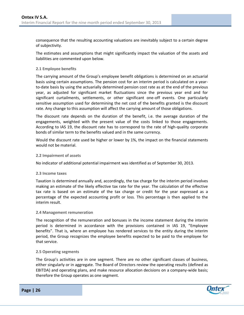consequence that the resulting accounting valuations are inevitably subject to a certain degree of subjectivity.

The estimates and assumptions that might significantly impact the valuation of the assets and liabilities are commented upon below.

#### **2.1 Employee benefits**

The carrying amount of the Group's employee benefit obligations is determined on an actuarial basis using certain assumptions. The pension cost for an interim period is calculated on a yearto-date basis by using the actuarially determined pension cost rate as at the end of the previous year, as adjusted for significant market fluctuations since the previous year end and for significant curtailments, settlements, or other significant one-off events. One particularly sensitive assumption used for determining the net cost of the benefits granted is the discount rate. Any change to this assumption will affect the carrying amount of those obligations.

The discount rate depends on the duration of the benefit, i.e. the average duration of the engagements, weighted with the present value of the costs linked to those engagements. According to IAS 19, the discount rate has to correspond to the rate of high-quality corporate bonds of similar term to the benefits valued and in the same currency.

Would the discount rate used be higher or lower by 1%, the impact on the financial statements would not be material.

#### **2.2 Impairment of assets**

No indicator of additional potential impairment was identified as of September 30, 2013.

#### **2.3 Income taxes**

Taxation is determined annually and, accordingly, the tax charge for the interim period involves making an estimate of the likely effective tax rate for the year. The calculation of the effective tax rate is based on an estimate of the tax charge or credit for the year expressed as a percentage of the expected accounting profit or loss. This percentage is then applied to the interim result.

#### **2.4 Management remuneration**

The recognition of the remuneration and bonuses in the income statement during the interim period is determined in accordance with the provisions contained in IAS 19, "Employee benefits". That is, where an employee has rendered services to the entity during the interim period, the Group recognizes the employee benefits expected to be paid to the employee for that service.

#### **2.5 Operating segments**

The Group's activities are in one segment. There are no other significant classes of business, either singularly or in aggregate. The Board of Directors review the operating results (defined as EBITDA) and operating plans, and make resource allocation decisions on a company-wide basis; therefore the Group operates as one segment.

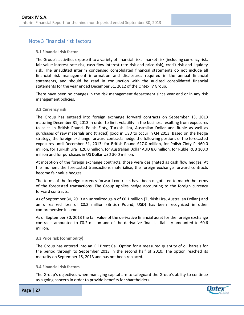# <span id="page-27-0"></span>Note 3 Financial risk factors

#### **3.1 Financial risk factor**

The Group's activities expose it to a variety of financial risks: market risk (including currency risk, fair value interest rate risk, cash flow interest rate risk and price risk), credit risk and liquidity risk. The unaudited interim condensed consolidated financial statements do not include all financial risk management information and disclosures required in the annual financial statements, and should be read in conjunction with the audited consolidated financial statements for the year ended December 31, 2012 of the Ontex IV Group.

There have been no changes in the risk management department since year end or in any risk management policies.

#### **3.2 Currency risk**

The Group has entered into foreign exchange forward contracts on September 13, 2013 maturing December 31, 2013 in order to limit volatility in the business resulting from exposures to sales in British Pound, Polish Zloty, Turkish Lira, Australian Dollar and Ruble as well as purchases of raw materials and (traded) good in USD to occur in Q4 2013. Based on the hedge strategy, the foreign exchange forward contracts hedge the following portions of the forecasted exposures until December 31, 2013: for British Pound £27.0 million, for Polish Zloty PLN60.0 million, for Turkish Lira TL20.0 million, for Australian Dollar AUD 8.0 million, for Ruble RUB 160.0 million and for purchases in US Dollar USD 30.0 million.

At inception of the foreign exchange contracts, those were designated as cash flow hedges. At the moment the forecasted transactions materialise, the foreign exchange forward contracts become fair value hedges

The terms of the foreign currency forward contracts have been negotiated to match the terms of the forecasted transactions. The Group applies hedge accounting to the foreign currency forward contracts.

As of September 30, 2013 an unrealized gain of €0.1 million (Turkish Lira, Australian Dollar ) and an unrealized loss of €0.2 million (British Pound, USD) has been recognized in other comprehensive income.

As of September 30, 2013 the fair value of the derivative financial asset for the foreign exchange contracts amounted to €0.2 million and of the derivative financial liability amounted to €0.6 million.

#### **3.3 Price risk (commodity)**

The Group has entered into an Oil Brent Call Option for a measured quantity of oil barrels for the period through to September 2013 in the second half of 2010. The option reached its maturity on September 15, 2013 and has not been replaced.

#### **3.4 Financial risk factors**

The Group's objectives when managing capital are to safeguard the Group's ability to continue as a going concern in order to provide benefits for shareholders.

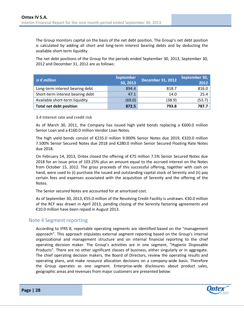The Group monitors capital on the basis of the net debt position. The Group's net debt position is calculated by adding all short and long-term interest bearing debts and by deducting the available short-term liquidity.

The net debt positions of the Group for the periods ended September 30, 2013, September 30, 2012 and December 31, 2012 are as follows:

| in $\epsilon$ million            | <b>September</b><br>30, 2013 | <b>December 31, 2012</b> | September 30,<br>2012 |
|----------------------------------|------------------------------|--------------------------|-----------------------|
| Long-term interest bearing debt  | 894.4                        | 818.7                    | 816.0                 |
| Short-term interest bearing debt | 47.1                         | 14.0                     | 25.4                  |
| Available short-term liquidity   | (69.0)                       | (38.9)                   | (53.7)                |
| <b>Total net debt position</b>   | 872.5                        | 793.8                    | 787.7                 |

**3.4 Interest rate and credit risk**

As of March 30, 2011, the Company has issued high yield bonds replacing a €600.0 million Senior Loan and a €160.0 million Vendor Loan Notes.

The high yield bonds consist of €235.0 million 9.000% Senior Notes due 2019, €320.0 million 7.500% Senior Secured Notes due 2018 and €280.0 million Senior Secured Floating Rate Notes due 2018.

On February 14, 2013, Ontex closed the offering of €75 million 7.5% Senior Secured Notes due 2018 for an issue price of 103.25% plus an amount equal to the accrued interest on the Notes from October 15, 2012. The gross proceeds of this successful offering, together with cash on hand, were used to (i) purchase the issued and outstanding capital stock of Serenity and (ii) pay certain fees and expenses associated with the acquisition of Serenity and the offering of the Notes.

The Senior secured Notes are accounted for at amortized cost.

As of September 30, 2013, €55.0 million of the Revolving Credit Facility is undrawn. €30.0 million of the RCF was drawn in April 2013, pending closing of the Serenity factoring agreements and €10.0 million have been repaid in August 2013.

## <span id="page-28-0"></span>Note 4 Segment reporting

According to IFRS 8, reportable operating segments are identified based on the "management approach". This approach stipulates external segment reporting based on the Group's internal organizational and management structure and on internal financial reporting to the chief operating decision maker. The Group's activities are in one segment, "Hygienic Disposable Products". There are no other significant classes of business, either singularly or in aggregate. The chief operating decision makers, the Board of Directors, review the operating results and operating plans, and make resource allocation decisions on a company-wide basis. Therefore the Group operates as one segment. Enterprise-wide disclosures about product sales, geographic areas and revenues from major customers are presented below: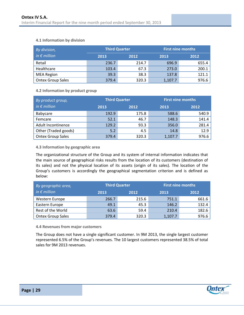#### **4.1 Information by division**

| By division,             |       | <b>Third Quarter</b> |         | <b>First nine months</b> |
|--------------------------|-------|----------------------|---------|--------------------------|
| $in \in$ million         | 2013  | 2012                 | 2013    | 2012                     |
| Retail                   | 236.7 | 214.7                | 696.9   | 655.4                    |
| Healthcare               | 103.4 | 67.3                 | 273.0   | 200.1                    |
| <b>MEA Region</b>        | 39.3  | 38.3                 | 137.8   | 121.1                    |
| <b>Ontex Group Sales</b> | 379.4 | 320.3                | 1,107.7 | 976.6                    |

#### **4.2 Information by product group**

| By product group,        | Third Quarter |       | <b>First nine months</b> |       |  |
|--------------------------|---------------|-------|--------------------------|-------|--|
| $in \in$ million         | 2013          | 2012  |                          | 2012  |  |
| Babycare                 | 192.9         | 175.8 | 588.6                    | 540.9 |  |
| Femcare                  | 52.1          | 46.7  | 148.3                    | 141.4 |  |
| Adult Incontinence       | 129.2         | 93.3  | 356.0                    | 281.4 |  |
| Other (Traded goods)     | 5.2           | 4.5   | 14.8                     | 12.9  |  |
| <b>Ontex Group Sales</b> | 379.4         | 320.3 | 1,107.7                  | 976.6 |  |

#### **4.3 Information by geographic area**

The organizational structure of the Group and its system of internal information indicates that the main source of geographical risks results from the location of its customers (destination of its sales) and not the physical location of its assets (origin of its sales). The location of the Group's customers is accordingly the geographical segmentation criterion and is defined as below:

| By geographic area,      |              | Third Quarter | <b>First nine months</b> |       |  |
|--------------------------|--------------|---------------|--------------------------|-------|--|
| in $\epsilon$ million    | 2013<br>2012 |               | 2013                     | 2012  |  |
| Western Europe           | 266.7        | 215.6         | 751.1                    | 661.6 |  |
| Eastern Europe           | 49.1         | 45.3          | 146.2                    | 132.4 |  |
| Rest of the World        | 63.6         | 59.4          | 210.4                    | 182.6 |  |
| <b>Ontex Group Sales</b> | 379.4        | 320.3         | 1,107.7                  | 976.6 |  |

**4.4 Revenues from major customers**

The Group does not have a single significant customer. In 9M 2013, the single largest customer represented 6.5% of the Group's revenues. The 10 largest customers represented 38.5% of total sales for 9M 2013 revenues.

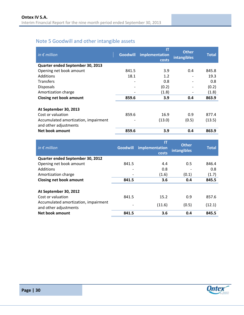# <span id="page-30-0"></span>Note 5 Goodwill and other intangible assets

| in $\epsilon$ million                                         | <b>Goodwill</b> | IT<br>implementation<br>costs | <b>Other</b><br>intangibles | <b>Total</b> |
|---------------------------------------------------------------|-----------------|-------------------------------|-----------------------------|--------------|
| Quarter ended September 30, 2013                              |                 |                               |                             |              |
| Opening net book amount                                       | 841.5           | 3.9                           | 0.4                         | 845.8        |
| Additions                                                     | 18.1            | 1.2                           |                             | 19.3         |
| <b>Transfers</b>                                              |                 | 0.8                           |                             | 0.8          |
| <b>Disposals</b>                                              |                 | (0.2)                         |                             | (0.2)        |
| Amortization charge                                           |                 | (1.8)                         |                             | (1.8)        |
| <b>Closing net book amount</b>                                | 859.6           | 3.9                           | 0.4                         | 863.9        |
| At September 30, 2013<br>Cost or valuation                    | 859.6           | 16.9                          | 0.9                         | 877.4        |
| Accumulated amortization, impairment<br>and other adjustments |                 | (13.0)                        | (0.5)                       | (13.5)       |
| Net book amount                                               | 859.6           | 3.9                           | 0.4                         | 863.9        |

| in $\epsilon$ million                                         | <b>Goodwill</b> | IT<br>implementation<br>costs | <b>Other</b><br>intangibles | <b>Total</b> |
|---------------------------------------------------------------|-----------------|-------------------------------|-----------------------------|--------------|
| Quarter ended September 30, 2012                              |                 |                               |                             |              |
| Opening net book amount                                       | 841.5           | 4.4                           | 0.5                         | 846.4        |
| Additions                                                     |                 | 0.8                           |                             | 0.8          |
| Amortization charge                                           |                 | (1.6)                         | (0.1)                       | (1.7)        |
| <b>Closing net book amount</b>                                | 841.5           | 3.6                           | 0.4                         | 845.5        |
| At September 30, 2012                                         |                 |                               |                             |              |
| Cost or valuation                                             | 841.5           | 15.2                          | 0.9                         | 857.6        |
| Accumulated amortization, impairment<br>and other adjustments |                 | (11.6)                        | (0.5)                       | (12.1)       |
| Net book amount                                               | 841.5           | 3.6                           | 0.4                         | 845.5        |

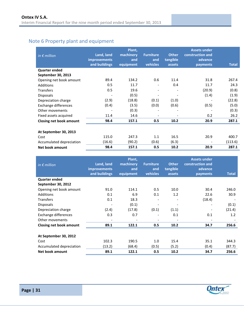# <span id="page-31-0"></span>Note 6 Property plant and equipment

| in $\epsilon$ million    | Land, land<br><b>improvements</b><br>and buildings | Plant,<br>machinery<br>and<br>equipment | <b>Furniture</b><br>and<br>vehicles | <b>Other</b><br>tangible<br>assets | <b>Assets under</b><br>construction and<br>advance<br>payments | <b>Total</b> |
|--------------------------|----------------------------------------------------|-----------------------------------------|-------------------------------------|------------------------------------|----------------------------------------------------------------|--------------|
| <b>Quarter ended</b>     |                                                    |                                         |                                     |                                    |                                                                |              |
| September 30, 2013       |                                                    |                                         |                                     |                                    |                                                                |              |
| Opening net book amount  | 89.4                                               | 134.2                                   | 0.6                                 | 11.4                               | 31.8                                                           | 267.4        |
| <b>Additions</b>         | 0.5                                                | 11.7                                    |                                     | 0.4                                | 11.7                                                           | 24.3         |
| <b>Transfers</b>         | 0.5                                                | 19.6                                    |                                     |                                    | (20.9)                                                         | (0.8)        |
| <b>Disposals</b>         |                                                    | (0.5)                                   | $\overline{\phantom{a}}$            |                                    | (1.4)                                                          | (1.9)        |
| Depreciation charge      | (2.9)                                              | (18.8)                                  | (0.1)                               | (1.0)                              |                                                                | (22.8)       |
| Exchange differences     | (0.4)                                              | (3.5)                                   | (0.0)                               | (0.6)                              | (0.5)                                                          | (5.0)        |
| Other movements          |                                                    | (0.3)                                   |                                     |                                    |                                                                | (0.3)        |
| Fixed assets acquired    | 11.4                                               | 14.6                                    |                                     |                                    | 0.2                                                            | 26.2         |
| Closing net book amount  | 98.4                                               | 157.1                                   | 0.5                                 | 10.2                               | 20.9                                                           | 287.1        |
| At September 30, 2013    |                                                    |                                         |                                     |                                    |                                                                |              |
| Cost                     | 115.0                                              | 247.3                                   | 1.1                                 | 16.5                               | 20.9                                                           | 400.7        |
| Accumulated depreciation | (16.6)                                             | (90.2)                                  | (0.6)                               | (6.3)                              | $\overline{\phantom{a}}$                                       | (113.6)      |
| <b>Net book amount</b>   | 98.4                                               | 157.1                                   | 0.5                                 | 10.2                               | 20.9                                                           | 287.1        |

| in $\epsilon$ million    | Land, land<br><b>improvements</b><br>and buildings | Plant,<br>machinery<br>and<br>equipment | <b>Furniture</b><br>and<br>vehicles | <b>Other</b><br>tangible<br>assets | <b>Assets under</b><br>construction and<br>advance<br>payments | <b>Total</b> |
|--------------------------|----------------------------------------------------|-----------------------------------------|-------------------------------------|------------------------------------|----------------------------------------------------------------|--------------|
| <b>Quarter ended</b>     |                                                    |                                         |                                     |                                    |                                                                |              |
| September 30, 2012       |                                                    |                                         |                                     |                                    |                                                                |              |
| Opening net book amount  | 91.0                                               | 114.1                                   | 0.5                                 | 10.0                               | 30.4                                                           | 246.0        |
| Additions                | 0.1                                                | 6.9                                     | 0.1                                 | 1.2                                | 22.6                                                           | 30.9         |
| <b>Transfers</b>         | 0.1                                                | 18.3                                    |                                     |                                    | (18.4)                                                         |              |
| Disposals                |                                                    | (0.1)                                   |                                     |                                    |                                                                | (0.1)        |
| Depreciation charge      | (2.4)                                              | (17.8)                                  | (0.1)                               | (1.1)                              |                                                                | (21.4)       |
| Exchange differences     | 0.3                                                | 0.7                                     |                                     | 0.1                                | 0.1                                                            | 1.2          |
| Other movements          |                                                    | $\qquad \qquad \blacksquare$            | $\overline{\phantom{a}}$            | $\overline{\phantom{a}}$           |                                                                |              |
| Closing net book amount  | 89.1                                               | 122.1                                   | 0.5                                 | 10.2                               | 34.7                                                           | 256.6        |
| At September 30, 2012    |                                                    |                                         |                                     |                                    |                                                                |              |
| Cost                     | 102.3                                              | 190.5                                   | 1.0                                 | 15.4                               | 35.1                                                           | 344.3        |
| Accumulated depreciation | (13.2)                                             | (68.4)                                  | (0.5)                               | (5.2)                              | (0.4)                                                          | (87.7)       |
| Net book amount          | 89.1                                               | 122.1                                   | 0.5                                 | 10.2                               | 34.7                                                           | 256.6        |

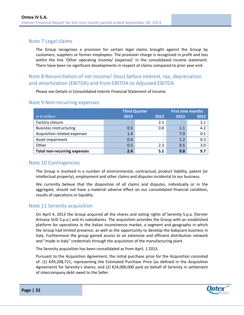# <span id="page-32-0"></span>Note 7 Legal claims

The Group recognises a provision for certain legal claims brought against the Group by customers, suppliers or former employees. The provision charge is recognised in profit and loss within the line 'Other operating income/ (expense)' in the consolidated income statement. There have been no significant developments in respect of claims compared to prior year end.

# <span id="page-32-1"></span>Note 8 Reconciliation of net income/ (loss) before interest, tax, depreciation and amortization (EBITDA) and from EBITDA to Adjusted EBITDA

Please see Details in Consolidated Interim Financial Statement of Income.

### <span id="page-32-2"></span>Note 9 Non-recurring expenses

|                                     | <b>Third Quarter</b>     | <b>First nine months</b> |      |      |
|-------------------------------------|--------------------------|--------------------------|------|------|
| in $\epsilon$ million               | 2013                     | 2012                     | 2013 | 2012 |
| Factory closure                     | $\overline{\phantom{0}}$ | 2.1                      |      | 2.1  |
| <b>Business restructuring</b>       | 0.5                      | 0.8                      | 1.1  | 4.2  |
| Acquisition related expenses        | 1.4                      |                          | 7.0  | 0.1  |
| Asset impairment                    | 0.4                      |                          | 1.2  | 0.3  |
| Other                               | 0.1                      | 2.3                      | 0.5  | 3.0  |
| <b>Total non-recurring expenses</b> | 2.4                      | 5.2                      | 9.8  | 9.7  |

## <span id="page-32-3"></span>Note 10 Contingencies

The Group is involved in a number of environmental, contractual, product liability, patent (or intellectual property), employment and other claims and disputes incidental to our business.

We currently believe that the disposition of all claims and disputes, individually or in the aggregate, should not have a material adverse effect on our consolidated financial condition, results of operations or liquidity.

## <span id="page-32-4"></span>Note 11 Serenity acquisition

On April 4, 2013 the Group acquired all the shares and voting rights of Serenity S.p.a. (former Artsana SUD S.p.a.) and its subsidiaries. The acquisition provides the Group with an established platform for operations in the Italian incontinence market, a segment and geography in which the Group had limited presence, as well as the opportunity to develop the babycare business in Italy. Furthermore the group gained access to an extensive and efficient distribution network and "made in Italy" credentials through the acquisition of the manufacturing plant.

The Serenity acquisition has been consolidated as from April, 1 2013.

Pursuant to the Acquisition Agreement, the initial purchase price for the Acquisition consisted of: (1) €49,208,721, representing the Estimated Purchase Price (as defined in the Acquisition Agreement) for Serenity's shares; and (2) €24,000,000 paid on behalf of Serenity in settlement of intercompany debt owed to the Seller.

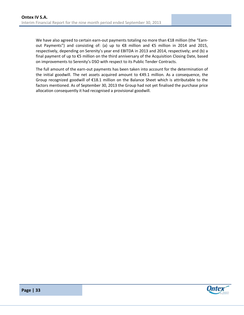We have also agreed to certain earn-out payments totaling no more than €18 million (the "Earnout Payments") and consisting of: (a) up to €8 million and €5 million in 2014 and 2015, respectively, depending on Serenity's year end EBITDA in 2013 and 2014, respectively; and (b) a final payment of up to €5 million on the third anniversary of the Acquisition Closing Date, based on improvements to Serenity's DSO with respect to its Public Tender Contracts.

The full amount of the earn-out payments has been taken into account for the determination of the initial goodwill. The net assets acquired amount to €49.1 million. As a consequence, the Group recognized goodwill of €18.1 million on the Balance Sheet which is attributable to the factors mentioned. As of September 30, 2013 the Group had not yet finalised the purchase price allocation consequently it had recognised a provisional goodwill.